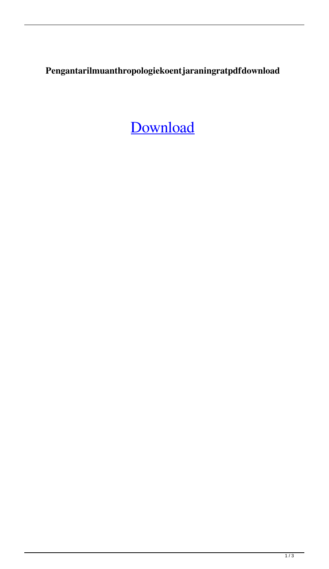**Pengantarilmuanthropologiekoentjaraningratpdfdownload**

[Download](http://evacdir.com/crafters/kinaesthetic/polyethylene.../cGVuZ2FudGFyaWxtdWFudGhyb3BvbG9naWVrb2VudGphcmFuaW5ncmF0cGRmZG93bmxvYWQcGV?eharlequin=ZG93bmxvYWR8ZFA3TldoeWNYeDhNVFkxTlRnME1qazRNWHg4TWpVNE4zeDhLRTBwSUVobGNtOXJkU0JiUm1GemRDQkhSVTVk)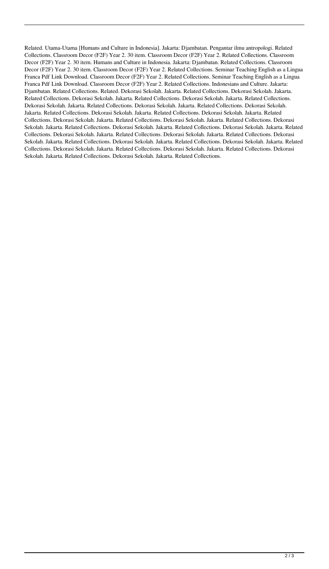Related. Utama-Utama [Humans and Culture in Indonesia]. Jakarta: Djambatan. Pengantar ilmu antropologi. Related Collections. Classroom Decor (F2F) Year 2. 30 item. Classroom Decor (F2F) Year 2. Related Collections. Classroom Decor (F2F) Year 2. 30 item. Humans and Culture in Indonesia. Jakarta: Djambatan. Related Collections. Classroom Decor (F2F) Year 2. 30 item. Classroom Decor (F2F) Year 2. Related Collections. Seminar Teaching English as a Lingua Franca Pdf Link Download. Classroom Decor (F2F) Year 2. Related Collections. Seminar Teaching English as a Lingua Franca Pdf Link Download. Classroom Decor (F2F) Year 2. Related Collections. Indonesians and Culture. Jakarta: Djambatan. Related Collections. Related. Dekorasi Sekolah. Jakarta. Related Collections. Dekorasi Sekolah. Jakarta. Related Collections. Dekorasi Sekolah. Jakarta. Related Collections. Dekorasi Sekolah. Jakarta. Related Collections. Dekorasi Sekolah. Jakarta. Related Collections. Dekorasi Sekolah. Jakarta. Related Collections. Dekorasi Sekolah. Jakarta. Related Collections. Dekorasi Sekolah. Jakarta. Related Collections. Dekorasi Sekolah. Jakarta. Related Collections. Dekorasi Sekolah. Jakarta. Related Collections. Dekorasi Sekolah. Jakarta. Related Collections. Dekorasi Sekolah. Jakarta. Related Collections. Dekorasi Sekolah. Jakarta. Related Collections. Dekorasi Sekolah. Jakarta. Related Collections. Dekorasi Sekolah. Jakarta. Related Collections. Dekorasi Sekolah. Jakarta. Related Collections. Dekorasi Sekolah. Jakarta. Related Collections. Dekorasi Sekolah. Jakarta. Related Collections. Dekorasi Sekolah. Jakarta. Related Collections. Dekorasi Sekolah. Jakarta. Related Collections. Dekorasi Sekolah. Jakarta. Related Collections. Dekorasi Sekolah. Jakarta. Related Collections. Dekorasi Sekolah. Jakarta. Related Collections.